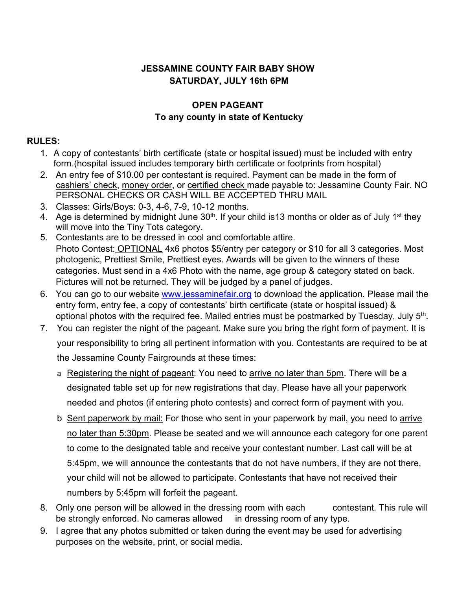## **JESSAMINE COUNTY FAIR BABY SHOW SATURDAY, JULY 16th 6PM**

## **OPEN PAGEANT To any county in state of Kentucky**

## **RULES:**

- 1. A copy of contestants' birth certificate (state or hospital issued) must be included with entry form.(hospital issued includes temporary birth certificate or footprints from hospital)
- 2. An entry fee of \$10.00 per contestant is required. Payment can be made in the form of cashiers' check, money order, or certified check made payable to: Jessamine County Fair. NO PERSONAL CHECKS OR CASH WILL BE ACCEPTED THRU MAIL
- 3. Classes: Girls/Boys: 0-3, 4-6, 7-9, 10-12 months.
- 4. Age is determined by midnight June  $30<sup>th</sup>$ . If your child is13 months or older as of July 1<sup>st</sup> they will move into the Tiny Tots category.
- 5. Contestants are to be dressed in cool and comfortable attire. Photo Contest: OPTIONAL 4x6 photos \$5/entry per category or \$10 for all 3 categories. Most photogenic, Prettiest Smile, Prettiest eyes. Awards will be given to the winners of these categories. Must send in a 4x6 Photo with the name, age group & category stated on back. Pictures will not be returned. They will be judged by a panel of judges.
- 6. You can go to our website [www.jessaminefair.org](http://www.jessaminefair.org/) to download the application. Please mail the entry form, entry fee, a copy of contestants' birth certificate (state or hospital issued) & optional photos with the required fee. Mailed entries must be postmarked by Tuesday, July  $5<sup>th</sup>$ .
- 7. You can register the night of the pageant. Make sure you bring the right form of payment. It is your responsibility to bring all pertinent information with you. Contestants are required to be at the Jessamine County Fairgrounds at these times:
	- a Registering the night of pageant: You need to arrive no later than 5pm. There will be a designated table set up for new registrations that day. Please have all your paperwork needed and photos (if entering photo contests) and correct form of payment with you.
	- b Sent paperwork by mail: For those who sent in your paperwork by mail, you need to arrive no later than 5:30pm. Please be seated and we will announce each category for one parent to come to the designated table and receive your contestant number. Last call will be at 5:45pm, we will announce the contestants that do not have numbers, if they are not there, your child will not be allowed to participate. Contestants that have not received their numbers by 5:45pm will forfeit the pageant.
- 8. Only one person will be allowed in the dressing room with each contestant. This rule will be strongly enforced. No cameras allowed in dressing room of any type.
- 9. I agree that any photos submitted or taken during the event may be used for advertising purposes on the website, print, or social media.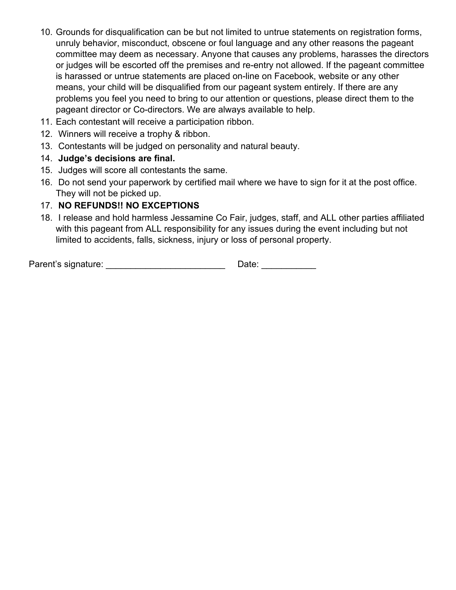- 10. Grounds for disqualification can be but not limited to untrue statements on registration forms, unruly behavior, misconduct, obscene or foul language and any other reasons the pageant committee may deem as necessary. Anyone that causes any problems, harasses the directors or judges will be escorted off the premises and re-entry not allowed. If the pageant committee is harassed or untrue statements are placed on-line on Facebook, website or any other means, your child will be disqualified from our pageant system entirely. If there are any problems you feel you need to bring to our attention or questions, please direct them to the pageant director or Co-directors. We are always available to help.
- 11. Each contestant will receive a participation ribbon.
- 12. Winners will receive a trophy & ribbon.
- 13. Contestants will be judged on personality and natural beauty.
- 14. **Judge's decisions are final.**
- 15. Judges will score all contestants the same.
- 16. Do not send your paperwork by certified mail where we have to sign for it at the post office. They will not be picked up.

## 17. **NO REFUNDS!! NO EXCEPTIONS**

18. I release and hold harmless Jessamine Co Fair, judges, staff, and ALL other parties affiliated with this pageant from ALL responsibility for any issues during the event including but not limited to accidents, falls, sickness, injury or loss of personal property.

Parent's signature: example and the Date: